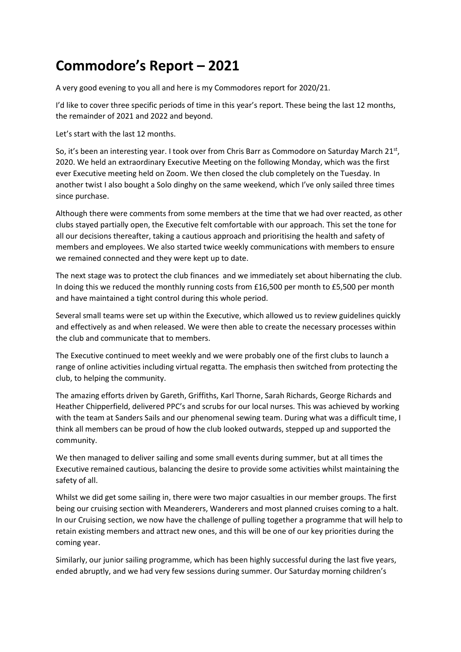## **Commodore's Report – 2021**

A very good evening to you all and here is my Commodores report for 2020/21.

I'd like to cover three specific periods of time in this year's report. These being the last 12 months, the remainder of 2021 and 2022 and beyond.

Let's start with the last 12 months.

So, it's been an interesting year. I took over from Chris Barr as Commodore on Saturday March 21st, 2020. We held an extraordinary Executive Meeting on the following Monday, which was the first ever Executive meeting held on Zoom. We then closed the club completely on the Tuesday. In another twist I also bought a Solo dinghy on the same weekend, which I've only sailed three times since purchase.

Although there were comments from some members at the time that we had over reacted, as other clubs stayed partially open, the Executive felt comfortable with our approach. This set the tone for all our decisions thereafter, taking a cautious approach and prioritising the health and safety of members and employees. We also started twice weekly communications with members to ensure we remained connected and they were kept up to date.

The next stage was to protect the club finances and we immediately set about hibernating the club. In doing this we reduced the monthly running costs from £16,500 per month to £5,500 per month and have maintained a tight control during this whole period.

Several small teams were set up within the Executive, which allowed us to review guidelines quickly and effectively as and when released. We were then able to create the necessary processes within the club and communicate that to members.

The Executive continued to meet weekly and we were probably one of the first clubs to launch a range of online activities including virtual regatta. The emphasis then switched from protecting the club, to helping the community.

The amazing efforts driven by Gareth, Griffiths, Karl Thorne, Sarah Richards, George Richards and Heather Chipperfield, delivered PPC's and scrubs for our local nurses. This was achieved by working with the team at Sanders Sails and our phenomenal sewing team. During what was a difficult time, I think all members can be proud of how the club looked outwards, stepped up and supported the community.

We then managed to deliver sailing and some small events during summer, but at all times the Executive remained cautious, balancing the desire to provide some activities whilst maintaining the safety of all.

Whilst we did get some sailing in, there were two major casualties in our member groups. The first being our cruising section with Meanderers, Wanderers and most planned cruises coming to a halt. In our Cruising section, we now have the challenge of pulling together a programme that will help to retain existing members and attract new ones, and this will be one of our key priorities during the coming year.

Similarly, our junior sailing programme, which has been highly successful during the last five years, ended abruptly, and we had very few sessions during summer. Our Saturday morning children's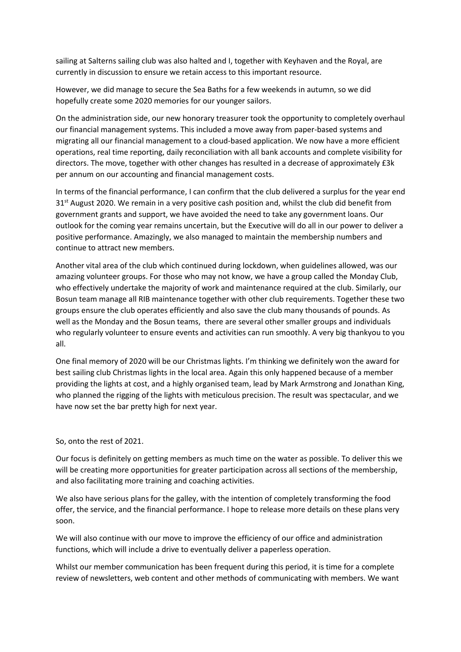sailing at Salterns sailing club was also halted and I, together with Keyhaven and the Royal, are currently in discussion to ensure we retain access to this important resource.

However, we did manage to secure the Sea Baths for a few weekends in autumn, so we did hopefully create some 2020 memories for our younger sailors.

On the administration side, our new honorary treasurer took the opportunity to completely overhaul our financial management systems. This included a move away from paper-based systems and migrating all our financial management to a cloud-based application. We now have a more efficient operations, real time reporting, daily reconciliation with all bank accounts and complete visibility for directors. The move, together with other changes has resulted in a decrease of approximately £3k per annum on our accounting and financial management costs.

In terms of the financial performance, I can confirm that the club delivered a surplus for the year end  $31<sup>st</sup>$  August 2020. We remain in a very positive cash position and, whilst the club did benefit from government grants and support, we have avoided the need to take any government loans. Our outlook for the coming year remains uncertain, but the Executive will do all in our power to deliver a positive performance. Amazingly, we also managed to maintain the membership numbers and continue to attract new members.

Another vital area of the club which continued during lockdown, when guidelines allowed, was our amazing volunteer groups. For those who may not know, we have a group called the Monday Club, who effectively undertake the majority of work and maintenance required at the club. Similarly, our Bosun team manage all RIB maintenance together with other club requirements. Together these two groups ensure the club operates efficiently and also save the club many thousands of pounds. As well as the Monday and the Bosun teams, there are several other smaller groups and individuals who regularly volunteer to ensure events and activities can run smoothly. A very big thankyou to you all.

One final memory of 2020 will be our Christmas lights. I'm thinking we definitely won the award for best sailing club Christmas lights in the local area. Again this only happened because of a member providing the lights at cost, and a highly organised team, lead by Mark Armstrong and Jonathan King, who planned the rigging of the lights with meticulous precision. The result was spectacular, and we have now set the bar pretty high for next year.

## So, onto the rest of 2021.

Our focus is definitely on getting members as much time on the water as possible. To deliver this we will be creating more opportunities for greater participation across all sections of the membership, and also facilitating more training and coaching activities.

We also have serious plans for the galley, with the intention of completely transforming the food offer, the service, and the financial performance. I hope to release more details on these plans very soon.

We will also continue with our move to improve the efficiency of our office and administration functions, which will include a drive to eventually deliver a paperless operation.

Whilst our member communication has been frequent during this period, it is time for a complete review of newsletters, web content and other methods of communicating with members. We want